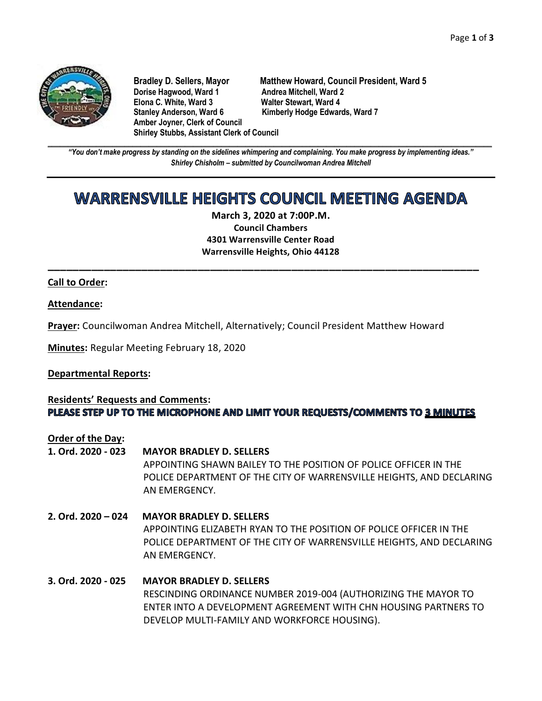

**Dorise Hagwood, Ward 1 Andrea Mitchell, Ward 2<br>11 Elona C. White. Ward 3 Andre Walter Stewart. Ward 4 Elona C. White, Ward 3** Stanley Anderson, Ward 6 Kimberly Hodge Edwards, Ward 7 **Amber Joyner, Clerk of Council Shirley Stubbs, Assistant Clerk of Council**

**Bradley D. Sellers, Mayor Matthew Howard, Council President, Ward 5**

**\_\_\_\_\_\_\_\_\_\_\_\_\_\_\_\_\_\_\_\_\_\_\_\_\_\_\_\_\_\_\_\_\_\_\_\_\_\_\_\_\_\_\_\_\_\_\_\_\_\_\_\_\_\_\_\_\_\_\_\_\_\_\_\_\_\_\_\_\_\_\_\_\_\_\_\_\_\_\_\_\_\_\_\_\_\_\_\_\_\_\_\_\_\_\_\_\_\_\_\_\_\_\_\_\_\_\_\_\_\_** *"You don't make progress by standing on the sidelines whimpering and complaining. You make progress by implementing ideas." Shirley Chisholm – submitted by Councilwoman Andrea Mitchell*

# **WARRENSVILLE HEIGHTS COUNCIL MEETING AGENDA**

**March 3, 2020 at 7:00P.M. Council Chambers 4301 Warrensville Center Road Warrensville Heights, Ohio 44128**

**\_\_\_\_\_\_\_\_\_\_\_\_\_\_\_\_\_\_\_\_\_\_\_\_\_\_\_\_\_\_\_\_\_\_\_\_\_\_\_\_\_\_\_\_\_\_\_\_\_\_\_\_\_\_\_\_\_\_\_\_\_\_\_\_\_\_\_\_\_**

## **Call to Order:**

#### **Attendance:**

**Prayer:** Councilwoman Andrea Mitchell, Alternatively; Council President Matthew Howard

**Minutes:** Regular Meeting February 18, 2020

#### **Departmental Reports:**

## **Residents' Requests and Comments:** PLEASE STEP UP TO THE MICROPHONE AND LIMIT YOUR REQUESTS/COMMENTS TO 3 MINUTES

#### **Order of the Day:**

- **1. Ord. 2020 - 023 MAYOR BRADLEY D. SELLERS** APPOINTING SHAWN BAILEY TO THE POSITION OF POLICE OFFICER IN THE POLICE DEPARTMENT OF THE CITY OF WARRENSVILLE HEIGHTS, AND DECLARING AN EMERGENCY.
- **2. Ord. 2020 – 024 MAYOR BRADLEY D. SELLERS** APPOINTING ELIZABETH RYAN TO THE POSITION OF POLICE OFFICER IN THE POLICE DEPARTMENT OF THE CITY OF WARRENSVILLE HEIGHTS, AND DECLARING AN EMERGENCY.

# **3. Ord. 2020 - 025 MAYOR BRADLEY D. SELLERS** RESCINDING ORDINANCE NUMBER 2019-004 (AUTHORIZING THE MAYOR TO ENTER INTO A DEVELOPMENT AGREEMENT WITH CHN HOUSING PARTNERS TO DEVELOP MULTI-FAMILY AND WORKFORCE HOUSING).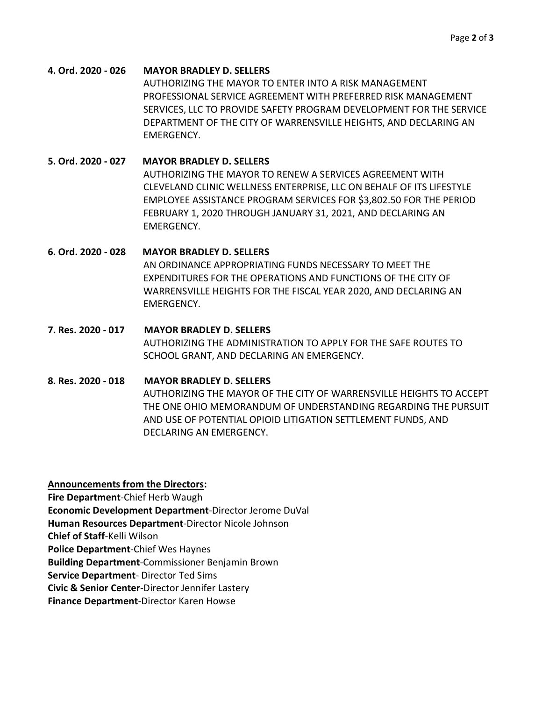**4. Ord. 2020 - 026 MAYOR BRADLEY D. SELLERS** AUTHORIZING THE MAYOR TO ENTER INTO A RISK MANAGEMENT PROFESSIONAL SERVICE AGREEMENT WITH PREFERRED RISK MANAGEMENT SERVICES, LLC TO PROVIDE SAFETY PROGRAM DEVELOPMENT FOR THE SERVICE DEPARTMENT OF THE CITY OF WARRENSVILLE HEIGHTS, AND DECLARING AN EMERGENCY.

**5. Ord. 2020 - 027 MAYOR BRADLEY D. SELLERS** AUTHORIZING THE MAYOR TO RENEW A SERVICES AGREEMENT WITH CLEVELAND CLINIC WELLNESS ENTERPRISE, LLC ON BEHALF OF ITS LIFESTYLE EMPLOYEE ASSISTANCE PROGRAM SERVICES FOR \$3,802.50 FOR THE PERIOD FEBRUARY 1, 2020 THROUGH JANUARY 31, 2021, AND DECLARING AN EMERGENCY.

# **6. Ord. 2020 - 028 MAYOR BRADLEY D. SELLERS** AN ORDINANCE APPROPRIATING FUNDS NECESSARY TO MEET THE EXPENDITURES FOR THE OPERATIONS AND FUNCTIONS OF THE CITY OF WARRENSVILLE HEIGHTS FOR THE FISCAL YEAR 2020, AND DECLARING AN EMERGENCY.

- **7. Res. 2020 - 017 MAYOR BRADLEY D. SELLERS** AUTHORIZING THE ADMINISTRATION TO APPLY FOR THE SAFE ROUTES TO SCHOOL GRANT, AND DECLARING AN EMERGENCY.
- **8. Res. 2020 - 018 MAYOR BRADLEY D. SELLERS** AUTHORIZING THE MAYOR OF THE CITY OF WARRENSVILLE HEIGHTS TO ACCEPT THE ONE OHIO MEMORANDUM OF UNDERSTANDING REGARDING THE PURSUIT AND USE OF POTENTIAL OPIOID LITIGATION SETTLEMENT FUNDS, AND DECLARING AN EMERGENCY.

**Announcements from the Directors:** 

**Fire Department**-Chief Herb Waugh

**Economic Development Department**-Director Jerome DuVal

**Human Resources Department**-Director Nicole Johnson

**Chief of Staff**-Kelli Wilson

**Police Department**-Chief Wes Haynes

**Building Department**-Commissioner Benjamin Brown

**Service Department**- Director Ted Sims

**Civic & Senior Center**-Director Jennifer Lastery

**Finance Department**-Director Karen Howse